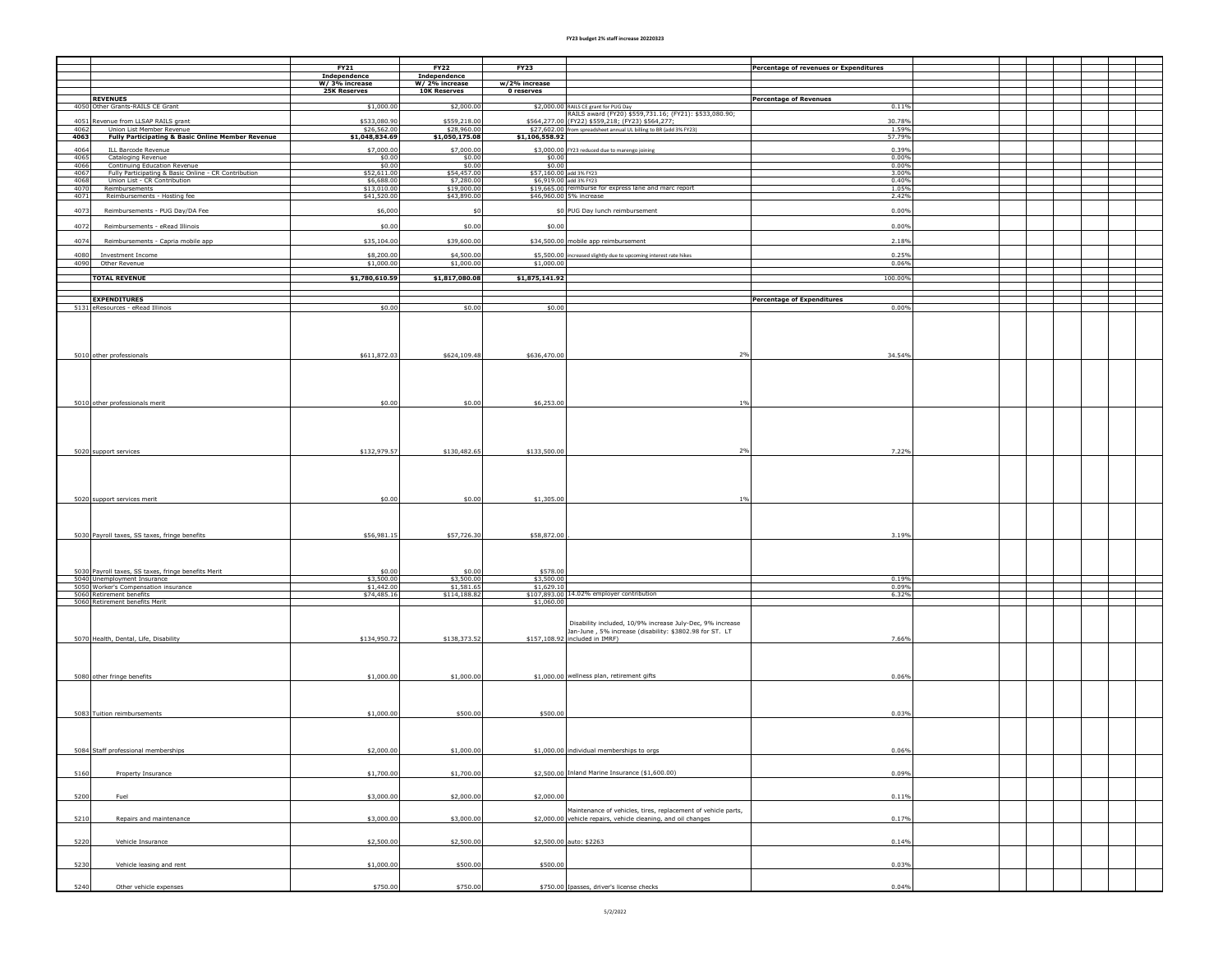## **FY23 budget 2% staff increase 20220323**

|                                                                                                           | FY21<br>Independence          | <b>FY22</b><br>Independence   | <b>FY23</b>             | Percentage of revenues or Expenditures                                                                                                                          |  |  |  |
|-----------------------------------------------------------------------------------------------------------|-------------------------------|-------------------------------|-------------------------|-----------------------------------------------------------------------------------------------------------------------------------------------------------------|--|--|--|
|                                                                                                           | W/3% increase                 | W/ 2% increase                | w/2% increase           |                                                                                                                                                                 |  |  |  |
| <b>REVENUES</b>                                                                                           | <b>25K Reserves</b>           | <b>10K Reserves</b>           | 0 reserves              | <b>Percentage of Revenues</b>                                                                                                                                   |  |  |  |
| 4050 Other Grants-RAILS CE Grant                                                                          | \$1,000.00                    | \$2,000.00                    |                         | \$2,000.00 RAILS CE grant for PUG Day<br>RAILS award (FY20) \$559,731.16; (FY21): \$533,080.90;<br>0.11%                                                        |  |  |  |
| 4051<br>Revenue from LLSAP RAILS grant                                                                    | \$533,080.90                  | \$559,218.00                  |                         | \$564,277.00 (FY22) \$559,218; (FY23) \$564,277;<br>30.78%                                                                                                      |  |  |  |
| 4062<br>Union List Member Revenue<br>4063<br><b>Fully Participating &amp; Basic Online Member Revenue</b> | \$26,562.00<br>\$1,048,834.69 | \$28,960.00<br>\$1,050,175.08 | \$1,106,558.92          | \$27,602.00 from spreadsheet annual UL billing to BR (add 3% FY23)<br>1.59%<br>57.79%                                                                           |  |  |  |
|                                                                                                           |                               |                               |                         |                                                                                                                                                                 |  |  |  |
| 4064<br><b>ILL Barcode Revenue</b><br>4065<br>Cataloging Revenue                                          | \$7,000.00<br>\$0.00          | \$7,000.00<br>\$0.00          | \$0.00                  | \$3,000.00 FY23 reduced due to marengo joining<br>0.39%<br>0.00%                                                                                                |  |  |  |
| 4066<br>Continuing Education Revenue                                                                      | \$0.00                        | \$0.00                        | \$0.00                  | 0.00%                                                                                                                                                           |  |  |  |
| Fully Participating & Basic Online - CR Contribution<br>4067<br>4068<br>Union List - CR Contribution      | \$52,611.00<br>\$6,688.00     | \$54,457.00<br>\$7,280.00     | \$57,160.00 add 3% FY23 | 3.00%<br>\$6,919.00 add 3% FY23<br>0.40%                                                                                                                        |  |  |  |
| 4070<br>Reimbursements<br>Reimbursements - Hosting fee                                                    | \$13,010.00                   | \$19,000.00                   |                         | \$19,665.00 reimburse for express lane and marc report<br>1.05%<br>2.42%                                                                                        |  |  |  |
| 4071                                                                                                      | \$41,520.00                   | \$43,890.00                   |                         | \$46,960.00 5% increase                                                                                                                                         |  |  |  |
| 4073<br>Reimbursements - PUG Day/DA Fee                                                                   | \$6,000                       | \$0                           |                         | \$0 PUG Day lunch reimbursement<br>0.00%                                                                                                                        |  |  |  |
| 4072<br>Reimbursements - eRead Illinois                                                                   | \$0.00                        | \$0.00                        | \$0.00                  | 0.00%                                                                                                                                                           |  |  |  |
| 4074<br>Reimbursements - Capria mobile app                                                                | \$35,104.00                   | \$39,600.00                   |                         | \$34,500.00 mobile app reimbursement<br>2.18%                                                                                                                   |  |  |  |
| 4080<br>Investment Income                                                                                 | \$8,200.00                    | \$4,500.00                    |                         | \$5,500.00 increased slightly due to upcoming interest rate hikes<br>0.25%                                                                                      |  |  |  |
| 4090<br>Other Revenue                                                                                     | \$1,000.00                    | \$1,000.00                    | \$1,000.00              | 0.06%                                                                                                                                                           |  |  |  |
| <b>TOTAL REVENUE</b>                                                                                      | \$1,780,610.59                | \$1,817,080.08                | \$1,875,141.92          | 100.00%                                                                                                                                                         |  |  |  |
|                                                                                                           |                               |                               |                         |                                                                                                                                                                 |  |  |  |
| <b>EXPENDITURES</b>                                                                                       |                               |                               |                         | <b>Percentage of Expenditures</b>                                                                                                                               |  |  |  |
| 5131 eResources - eRead Illinois                                                                          | \$0.00                        | \$0.00                        | \$0.00                  | 0.00%                                                                                                                                                           |  |  |  |
|                                                                                                           |                               |                               |                         |                                                                                                                                                                 |  |  |  |
| 5010 other professionals                                                                                  | \$611,872.03                  | \$624,109.48                  | \$636,470.00            | 34.54%<br>2%                                                                                                                                                    |  |  |  |
| 5010 other professionals merit                                                                            | \$0.00                        | \$0.00                        | \$6,253.00              | 1%                                                                                                                                                              |  |  |  |
| 5020 support services                                                                                     | \$132,979.57                  | \$130,482.65                  | \$133,500.00            | 2%<br>7.22%                                                                                                                                                     |  |  |  |
| 5020 support services merit                                                                               | \$0.00                        | \$0.00                        | \$1,305.00              | 1%                                                                                                                                                              |  |  |  |
| 5030 Payroll taxes, SS taxes, fringe benefits                                                             | \$56,981.15                   | \$57,726.30                   | \$58,872.00             | 3.19%                                                                                                                                                           |  |  |  |
|                                                                                                           |                               |                               |                         |                                                                                                                                                                 |  |  |  |
| 5030 Payroll taxes, SS taxes, fringe benefits Merit<br>5040 Unemployment Insurance                        | \$0.00<br>\$3,500.00          | \$0.00<br>\$3,500.00          | \$578.00<br>\$3,500.00  | 0.19%                                                                                                                                                           |  |  |  |
| 5050 Worker's Compensation insurance<br>5060 Retirement benefits                                          | $$1,442.00$<br>$$74,485.16$   | \$1,581.65<br>\$114,188.82    | \$1,629.10              | 0.09%<br>\$107,893.00 14.02% employer contribution<br>6.32%                                                                                                     |  |  |  |
| 5060 Retirement benefits Merit                                                                            |                               |                               | \$1,060.00              |                                                                                                                                                                 |  |  |  |
| 5070 Health, Dental, Life, Disability                                                                     | \$134,950.72                  | \$138,373.52                  |                         | Disability included, 10/9% increase July-Dec, 9% increase<br>Jan-June, 5% increase (disability: \$3802.98 for ST. LT<br>\$157,108.92 included in IMRF)<br>7.66% |  |  |  |
| 5080 other fringe benefits                                                                                | \$1,000.00                    | \$1,000.00                    |                         | \$1,000.00 wellness plan, retirement gifts<br>0.06%                                                                                                             |  |  |  |
| 5083 Tuition reimbursements                                                                               | \$1,000.00                    | \$500.00                      | \$500.00                | 0.03%                                                                                                                                                           |  |  |  |
| 5084 Staff professional memberships                                                                       | \$2,000.00                    | \$1,000.00                    |                         | \$1,000.00 individual memberships to orgs<br>0.06%                                                                                                              |  |  |  |
| 5160<br>Property Insurance                                                                                | \$1,700.00                    | \$1,700.00                    |                         | \$2,500.00 Inland Marine Insurance (\$1,600.00)<br>0.09%                                                                                                        |  |  |  |
| 5200<br>Fuel                                                                                              | \$3,000.00                    | \$2,000.00                    | \$2,000.00              | 0.11%                                                                                                                                                           |  |  |  |
| 5210<br>Repairs and maintenance                                                                           | \$3,000.00                    | \$3,000.00                    |                         | Maintenance of vehicles, tires, replacement of vehicle parts,<br>\$2,000.00 vehicle repairs, vehicle cleaning, and oil changes<br>0.17%                         |  |  |  |
| 5220<br>Vehicle Insurance                                                                                 | \$2,500.00                    | \$2,500.00                    |                         | \$2,500.00 auto: \$2263<br>0.14%                                                                                                                                |  |  |  |
| 5230<br>Vehicle leasing and rent                                                                          | \$1,000.00                    | \$500.00                      | \$500.00                | 0.03%                                                                                                                                                           |  |  |  |
| 5240<br>Other vehicle expenses                                                                            | \$750.00                      | \$750.00                      |                         | \$750.00 Ipasses, driver's license checks<br>0.04%                                                                                                              |  |  |  |